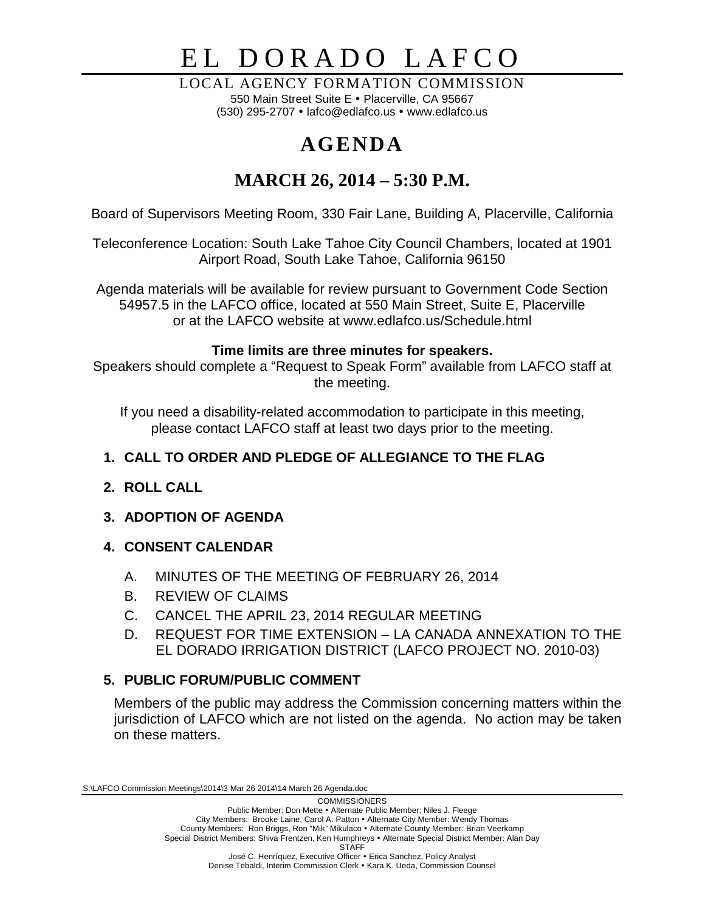# EL DORADO LAFCO

LOCAL AGENCY FORMATION COMMISSION 550 Main Street Suite E · Placerville, CA 95667 (530) 295-2707  $\cdot$  lafco@edlafco.us  $\cdot$  www.edlafco.us

# **AGENDA**

# **MARCH 26, 2014 – 5:30 P.M.**

Board of Supervisors Meeting Room, 330 Fair Lane, Building A, Placerville, California

Teleconference Location: South Lake Tahoe City Council Chambers, located at 1901 Airport Road, South Lake Tahoe, California 96150

Agenda materials will be available for review pursuant to Government Code Section 54957.5 in the LAFCO office, located at 550 Main Street, Suite E, Placerville or at the LAFCO website at www.edlafco.us/Schedule.html

# **Time limits are three minutes for speakers.**

Speakers should complete a "Request to Speak Form" available from LAFCO staff at the meeting.

If you need a disability-related accommodation to participate in this meeting, please contact LAFCO staff at least two days prior to the meeting.

# **1. CALL TO ORDER AND PLEDGE OF ALLEGIANCE TO THE FLAG**

# **2. ROLL CALL**

# **3. ADOPTION OF AGENDA**

# **4. CONSENT CALENDAR**

- A. MINUTES OF THE MEETING OF FEBRUARY 26, 2014
- B. REVIEW OF CLAIMS
- C. CANCEL THE APRIL 23, 2014 REGULAR MEETING
- D. REQUEST FOR TIME EXTENSION LA CANADA ANNEXATION TO THE EL DORADO IRRIGATION DISTRICT (LAFCO PROJECT NO. 2010-03)

# **5. PUBLIC FORUM/PUBLIC COMMENT**

Members of the public may address the Commission concerning matters within the jurisdiction of LAFCO which are not listed on the agenda. No action may be taken on these matters.

S:\LAFCO Commission Meetings\2014\3 Mar 26 2014\14 March 26 Agenda.doc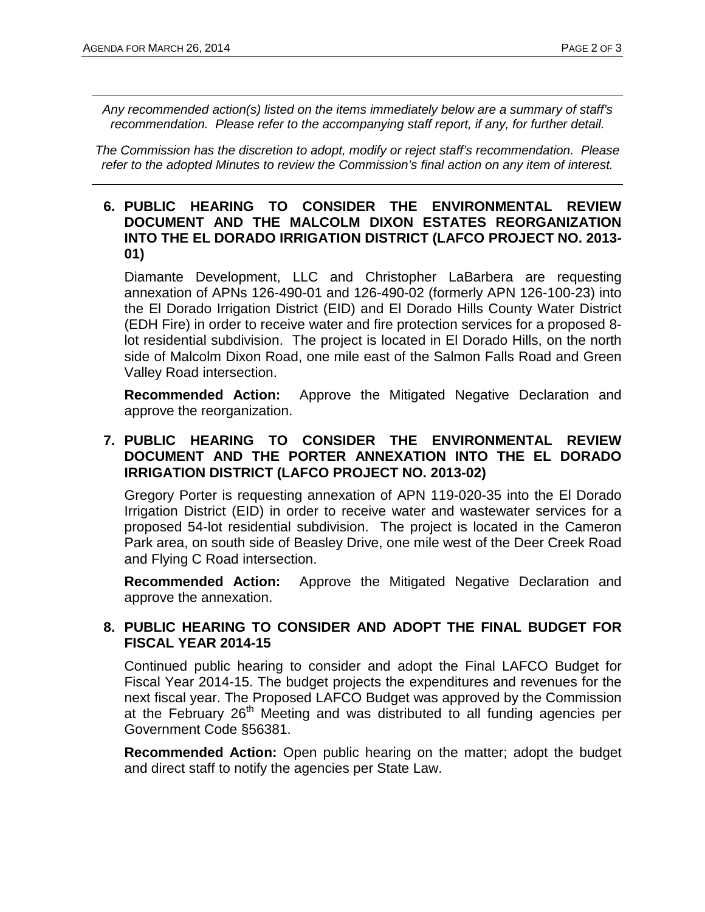*Any recommended action(s) listed on the items immediately below are a summary of staff's recommendation. Please refer to the accompanying staff report, if any, for further detail.* 

*The Commission has the discretion to adopt, modify or reject staff's recommendation. Please refer to the adopted Minutes to review the Commission's final action on any item of interest.*

#### **6. PUBLIC HEARING TO CONSIDER THE ENVIRONMENTAL REVIEW DOCUMENT AND THE MALCOLM DIXON ESTATES REORGANIZATION INTO THE EL DORADO IRRIGATION DISTRICT (LAFCO PROJECT NO. 2013- 01)**

Diamante Development, LLC and Christopher LaBarbera are requesting annexation of APNs 126-490-01 and 126-490-02 (formerly APN 126-100-23) into the El Dorado Irrigation District (EID) and El Dorado Hills County Water District (EDH Fire) in order to receive water and fire protection services for a proposed 8 lot residential subdivision. The project is located in El Dorado Hills, on the north side of Malcolm Dixon Road, one mile east of the Salmon Falls Road and Green Valley Road intersection.

**Recommended Action:** Approve the Mitigated Negative Declaration and approve the reorganization.

#### **7. PUBLIC HEARING TO CONSIDER THE ENVIRONMENTAL REVIEW DOCUMENT AND THE PORTER ANNEXATION INTO THE EL DORADO IRRIGATION DISTRICT (LAFCO PROJECT NO. 2013-02)**

Gregory Porter is requesting annexation of APN 119-020-35 into the El Dorado Irrigation District (EID) in order to receive water and wastewater services for a proposed 54-lot residential subdivision. The project is located in the Cameron Park area, on south side of Beasley Drive, one mile west of the Deer Creek Road and Flying C Road intersection.

**Recommended Action:** Approve the Mitigated Negative Declaration and approve the annexation.

#### **8. PUBLIC HEARING TO CONSIDER AND ADOPT THE FINAL BUDGET FOR FISCAL YEAR 2014-15**

Continued public hearing to consider and adopt the Final LAFCO Budget for Fiscal Year 2014-15. The budget projects the expenditures and revenues for the next fiscal year. The Proposed LAFCO Budget was approved by the Commission at the February 26th Meeting and was distributed to all funding agencies per Government Code §56381.

**Recommended Action:** Open public hearing on the matter; adopt the budget and direct staff to notify the agencies per State Law.